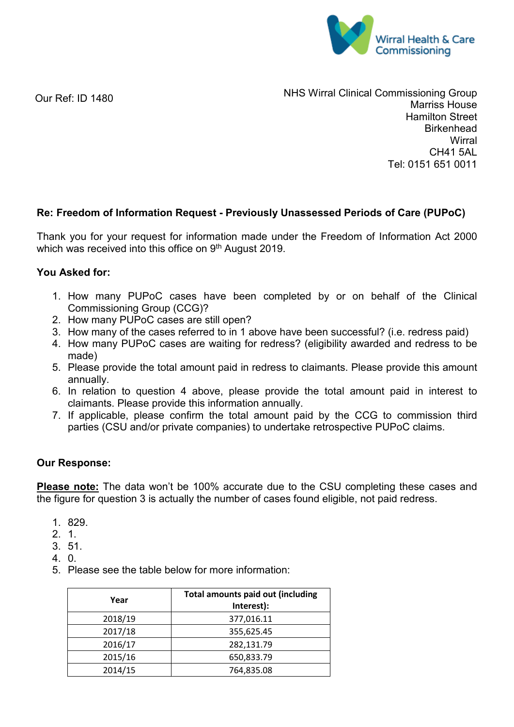

Our Ref: ID 1480

NHS Wirral Clinical Commissioning Group Marriss House Hamilton Street **Birkenhead Wirral** CH41 5AL Tel: 0151 651 0011

# **Re: Freedom of Information Request - Previously Unassessed Periods of Care (PUPoC)**

Thank you for your request for information made under the Freedom of Information Act 2000 which was received into this office on 9<sup>th</sup> August 2019.

## **You Asked for:**

- 1. How many PUPoC cases have been completed by or on behalf of the Clinical Commissioning Group (CCG)?
- 2. How many PUPoC cases are still open?
- 3. How many of the cases referred to in 1 above have been successful? (i.e. redress paid)
- 4. How many PUPoC cases are waiting for redress? (eligibility awarded and redress to be made)
- 5. Please provide the total amount paid in redress to claimants. Please provide this amount annually.
- 6. In relation to question 4 above, please provide the total amount paid in interest to claimants. Please provide this information annually.
- 7. If applicable, please confirm the total amount paid by the CCG to commission third parties (CSU and/or private companies) to undertake retrospective PUPoC claims.

### **Our Response:**

**Please note:** The data won't be 100% accurate due to the CSU completing these cases and the figure for question 3 is actually the number of cases found eligible, not paid redress.

- 1. 829.
- 2. 1.
- 3. 51.
- 4. 0.
- 5. Please see the table below for more information:

| Year    | <b>Total amounts paid out (including</b><br>Interest): |
|---------|--------------------------------------------------------|
| 2018/19 | 377,016.11                                             |
| 2017/18 | 355,625.45                                             |
| 2016/17 | 282,131.79                                             |
| 2015/16 | 650,833.79                                             |
| 2014/15 | 764,835.08                                             |